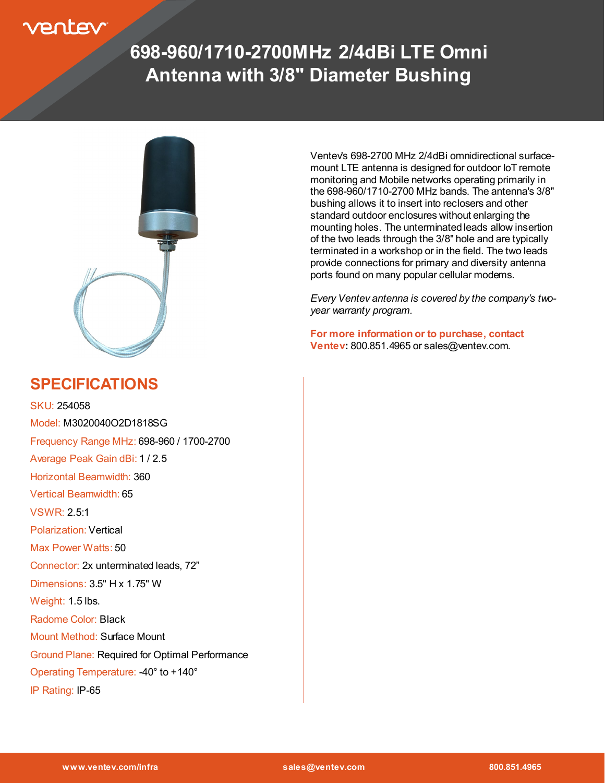### entev

# **698-960/1710-2700MHz 2/4dBi LTE Omni Antenna with 3/8" Diameter Bushing**



#### **SPECIFICATIONS**

SKU: 254058 Model: M3020040O2D1818SG Frequency Range MHz: 698-960 / 1700-2700 Average Peak Gain dBi: 1 / 2.5 Horizontal Beamwidth: 360 Vertical Beamwidth: 65 VSWR: 2.5:1 Polarization: Vertical Max Power Watts: 50 Connector: 2x unterminated leads, 72" Dimensions: 3.5" H x 1.75" W Weight: 1.5 lbs. Radome Color: Black Mount Method: Surface Mount Ground Plane: Required for Optimal Performance Operating Temperature: -40° to +140°

IP Rating: IP-65

Ventev's 698-2700 MHz 2/4dBi omnidirectional surfacemount LTE antenna is designed for outdoor IoT remote monitoring and Mobile networks operating primarily in the 698-960/1710-2700 MHz bands. The antenna's 3/8" bushing allows it to insert into reclosers and other standard outdoor enclosures without enlarging the mounting holes. The unterminated leads allow insertion of the two leads through the 3/8" hole and are typically terminated in a workshop or in the field. The two leads provide connections for primary and diversity antenna ports found on many popular cellular modems.

*Every Ventev antenna is covered by the company's twoyear warranty program.* 

**For more information or to purchase, contact Ventev:** 800.851.4965 or sales@ventev.com.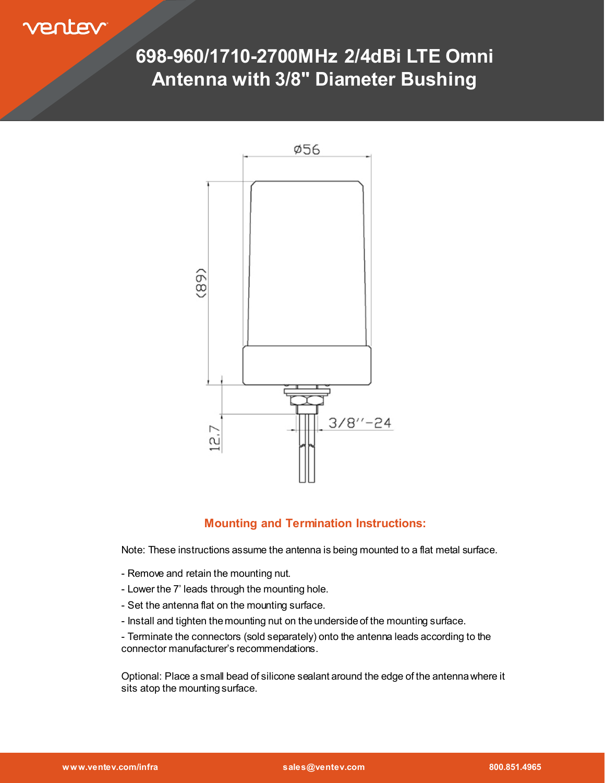entev

## **698-960/1710-2700MHz 2/4dBi LTE Omni Antenna with 3/8" Diameter Bushing**



#### **Mounting and Termination Instructions:**

Note: These instructions assume the antenna is being mounted to a flat metal surface.

- Remove and retain the mounting nut.
- Lower the 7' leads through the mounting hole.
- Set the antenna flat on the mounting surface.
- Install and tighten the mounting nut on the underside of the mounting surface.

- Terminate the connectors (sold separately) onto the antenna leads according to the connector manufacturer's recommendations.

Optional: Place a small bead of silicone sealant around the edge of the antenna where it sits atop the mounting surface.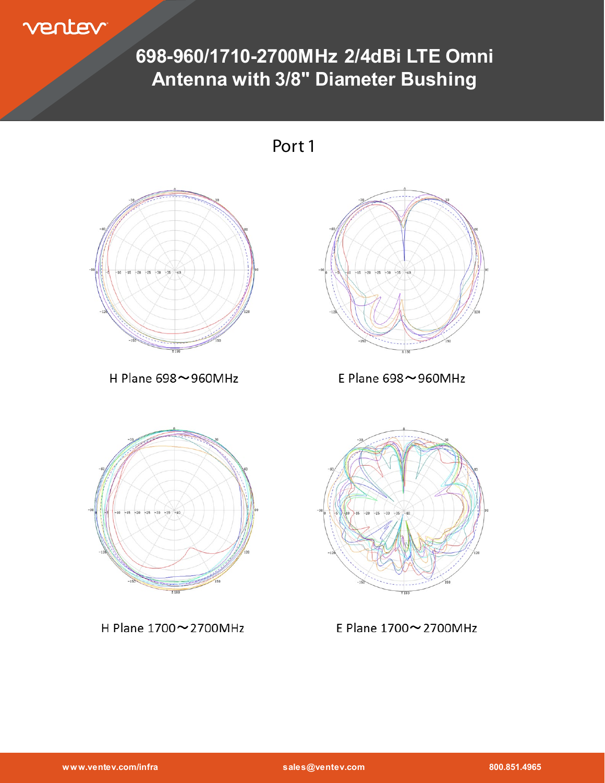ventev

# **698-960/1710-2700MHz 2/4dBi LTE Omni Antenna with 3/8" Diameter Bushing**

Port 1